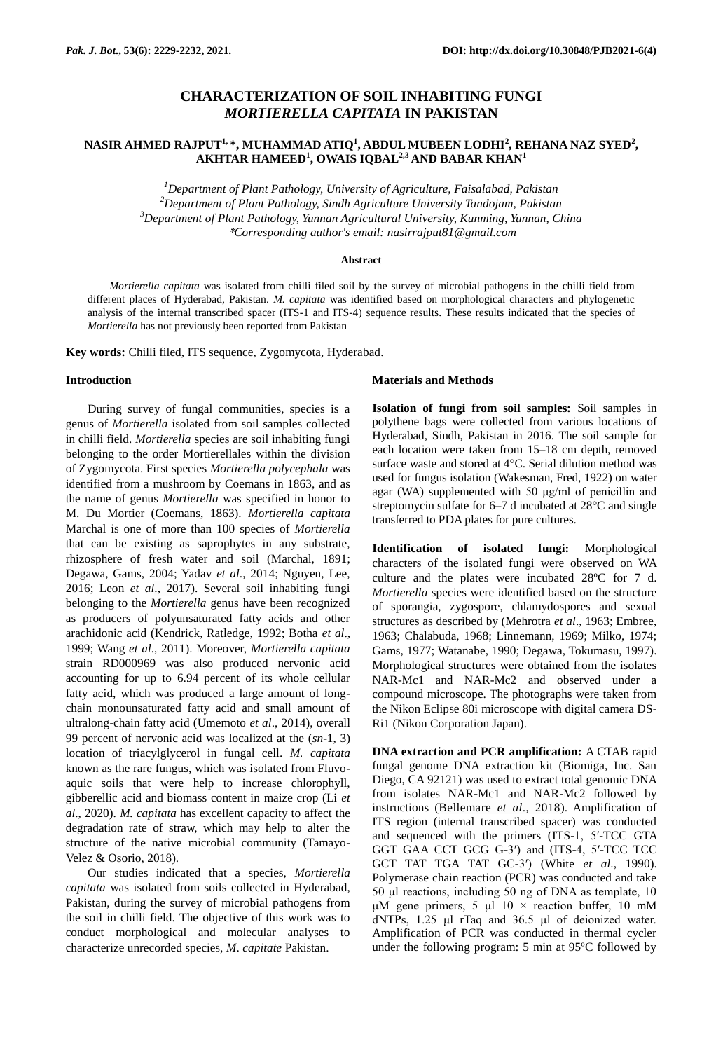# **CHARACTERIZATION OF SOIL INHABITING FUNGI** *MORTIERELLA CAPITATA* **IN PAKISTAN**

## **NASIR AHMED RAJPUT1, \*, MUHAMMAD ATIQ<sup>1</sup> , ABDUL MUBEEN LODHI<sup>2</sup> , REHANA NAZ SYED<sup>2</sup> , AKHTAR HAMEED<sup>1</sup> , OWAIS IQBAL2,3 AND BABAR KHAN<sup>1</sup>**

*Department of Plant Pathology, University of Agriculture, Faisalabad, Pakistan Department of Plant Pathology, Sindh Agriculture University Tandojam, Pakistan Department of Plant Pathology, Yunnan Agricultural University, Kunming, Yunnan, China* \**Corresponding author's email: nasirrajput81@gmail.com*

## **Abstract**

*Mortierella capitata* was isolated from chilli filed soil by the survey of microbial pathogens in the chilli field from different places of Hyderabad, Pakistan. *M. capitata* was identified based on morphological characters and phylogenetic analysis of the internal transcribed spacer (ITS-1 and ITS-4) sequence results. These results indicated that the species of *Mortierella* has not previously been reported from Pakistan

**Key words:** Chilli filed, ITS sequence, Zygomycota, Hyderabad.

### **Introduction**

During survey of fungal communities, species is a genus of *Mortierella* isolated from soil samples collected in chilli field. *Mortierella* species are soil inhabiting fungi belonging to the order Mortierellales within the division of Zygomycota. First species *Mortierella polycephala* was identified from a mushroom by Coemans in 1863, and as the name of genus *Mortierella* was specified in honor to M. Du Mortier (Coemans, 1863). *Mortierella capitata* Marchal is one of more than 100 species of *Mortierella* that can be existing as saprophytes in any substrate, rhizosphere of fresh water and soil (Marchal, 1891; Degawa, Gams, 2004; Yadav *et al*., 2014; Nguyen, Lee, 2016; Leon *et al*., 2017). Several soil inhabiting fungi belonging to the *Mortierella* genus have been recognized as producers of polyunsaturated fatty acids and other arachidonic acid (Kendrick, Ratledge, 1992; Botha *et al*., 1999; Wang *et al*., 2011). Moreover, *Mortierella capitata* strain RD000969 was also produced nervonic acid accounting for up to 6.94 percent of its whole cellular fatty acid, which was produced a large amount of longchain monounsaturated fatty acid and small amount of ultralong-chain fatty acid (Umemoto *et al*., 2014), overall 99 percent of nervonic acid was localized at the (*sn*-1, 3) location of triacylglycerol in fungal cell. *M. capitata* known as the rare fungus*,* which was isolated from Fluvoaquic soils that were help to increase chlorophyll, gibberellic acid and biomass content in maize crop (Li *et al*., 2020). *M. capitata* has excellent capacity to affect the degradation rate of straw, which may help to alter the structure of the native microbial community (Tamayo-Velez & Osorio, 2018).

Our studies indicated that a species, *Mortierella capitata* was isolated from soils collected in Hyderabad, Pakistan, during the survey of microbial pathogens from the soil in chilli field. The objective of this work was to conduct morphological and molecular analyses to characterize unrecorded species, *M*. *capitate* Pakistan.

#### **Materials and Methods**

**Isolation of fungi from soil samples:** Soil samples in polythene bags were collected from various locations of Hyderabad, Sindh, Pakistan in 2016. The soil sample for each location were taken from 15–18 cm depth, removed surface waste and stored at 4°C. Serial dilution method was used for fungus isolation (Wakesman, Fred, 1922) on water agar (WA) supplemented with 50 μg/ml of penicillin and streptomycin sulfate for 6–7 d incubated at 28°C and single transferred to PDA plates for pure cultures.

**Identification of isolated fungi:** Morphological characters of the isolated fungi were observed on WA culture and the plates were incubated 28ºC for 7 d. *Mortierella* species were identified based on the structure of sporangia, zygospore, chlamydospores and sexual structures as described by (Mehrotra *et al*., 1963; Embree, 1963; Chalabuda, 1968; Linnemann, 1969; Milko, 1974; Gams, 1977; Watanabe, 1990; Degawa, Tokumasu, 1997). Morphological structures were obtained from the isolates NAR-Mc1 and NAR-Mc2 and observed under a compound microscope. The photographs were taken from the Nikon Eclipse 80i microscope with digital camera DS-Ri1 (Nikon Corporation Japan).

**DNA extraction and PCR amplification:** A CTAB rapid fungal genome DNA extraction kit (Biomiga, Inc. San Diego, CA 92121) was used to extract total genomic DNA from isolates NAR-Mc1 and NAR-Mc2 followed by instructions (Bellemare *et al*., 2018). Amplification of ITS region (internal transcribed spacer) was conducted and sequenced with the primers (ITS-1, 5′-TCC GTA GGT GAA CCT GCG G-3′) and (ITS-4, 5′-TCC TCC GCT TAT TGA TAT GC-3′) (White *et al*., 1990). Polymerase chain reaction (PCR) was conducted and take 50 μl reactions, including 50 ng of DNA as template, 10 μM gene primers, 5 μl  $10 \times$  reaction buffer, 10 mM dNTPs, 1.25 μl rTaq and 36.5 μl of deionized water. Amplification of PCR was conducted in thermal cycler under the following program: 5 min at 95ºC followed by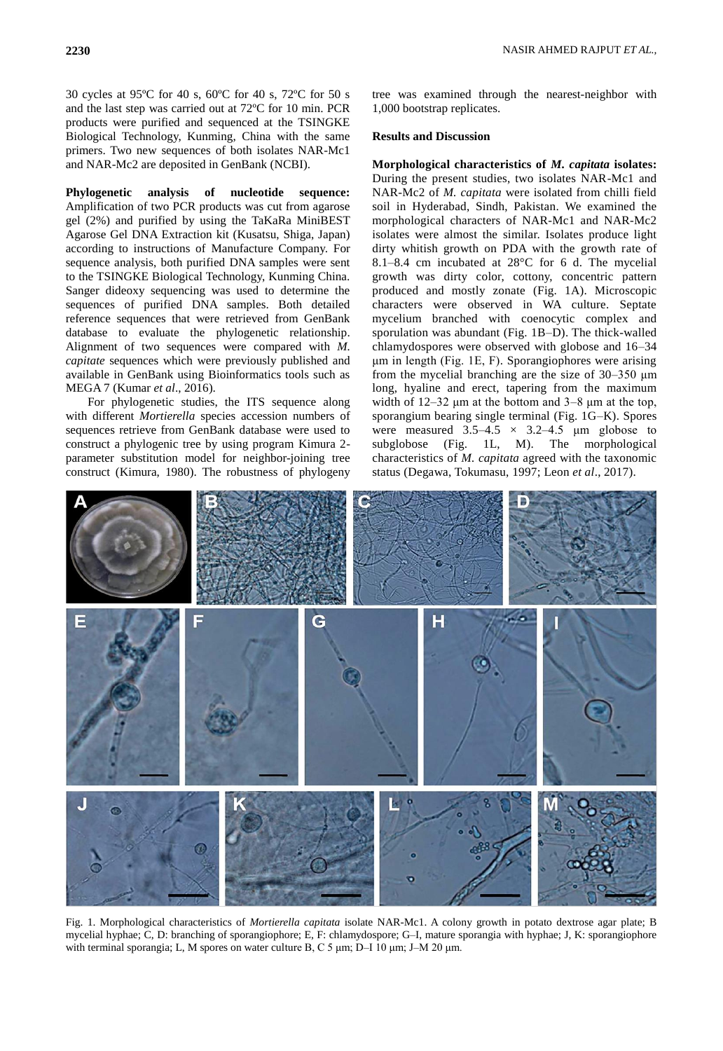30 cycles at 95ºC for 40 s, 60ºC for 40 s, 72ºC for 50 s and the last step was carried out at 72ºC for 10 min. PCR products were purified and sequenced at the TSINGKE Biological Technology, Kunming, China with the same primers. Two new sequences of both isolates NAR-Mc1 and NAR-Mc2 are deposited in GenBank (NCBI).

**Phylogenetic analysis of nucleotide sequence:**  Amplification of two PCR products was cut from agarose gel (2%) and purified by using the TaKaRa MiniBEST Agarose Gel DNA Extraction kit (Kusatsu, Shiga, Japan) according to instructions of Manufacture Company. For sequence analysis, both purified DNA samples were sent to the TSINGKE Biological Technology, Kunming China. Sanger dideoxy sequencing was used to determine the sequences of purified DNA samples. Both detailed reference sequences that were retrieved from GenBank database to evaluate the phylogenetic relationship. Alignment of two sequences were compared with *M. capitate* sequences which were previously published and available in GenBank using Bioinformatics tools such as MEGA 7 (Kumar *et al*., 2016).

For phylogenetic studies, the ITS sequence along with different *Mortierella* species accession numbers of sequences retrieve from GenBank database were used to construct a phylogenic tree by using program Kimura 2 parameter substitution model for neighbor-joining tree construct (Kimura, 1980). The robustness of phylogeny

tree was examined through the nearest-neighbor with 1,000 bootstrap replicates.

#### **Results and Discussion**

**Morphological characteristics of** *M. capitata* **isolates:**  During the present studies, two isolates NAR-Mc1 and NAR-Mc2 of *M. capitata* were isolated from chilli field soil in Hyderabad, Sindh, Pakistan. We examined the morphological characters of NAR-Mc1 and NAR-Mc2 isolates were almost the similar. Isolates produce light dirty whitish growth on PDA with the growth rate of 8.1–8.4 cm incubated at 28°C for 6 d. The mycelial growth was dirty color, cottony, concentric pattern produced and mostly zonate (Fig. 1A). Microscopic characters were observed in WA culture. Septate mycelium branched with coenocytic complex and sporulation was abundant (Fig. 1B–D). The thick-walled chlamydospores were observed with globose and 16–34 μm in length (Fig. 1E, F). Sporangiophores were arising from the mycelial branching are the size of  $30-350 \mu m$ long, hyaline and erect, tapering from the maximum width of  $12-32 \mu m$  at the bottom and  $3-8 \mu m$  at the top, sporangium bearing single terminal (Fig. 1G–K). Spores were measured  $3.5-4.5 \times 3.2-4.5 \mu m$  globose to subglobose (Fig. 1L, M). The morphological characteristics of *M. capitata* agreed with the taxonomic status (Degawa, Tokumasu, 1997; Leon *et al*., 2017).



Fig. 1. Morphological characteristics of *Mortierella capitata* isolate NAR-Mc1. A colony growth in potato dextrose agar plate; B mycelial hyphae; C, D: branching of sporangiophore; E, F: chlamydospore; G–I, mature sporangia with hyphae; J, K: sporangiophore with terminal sporangia; L, M spores on water culture B, C 5 μm; D–I 10 μm; J–M 20 μm.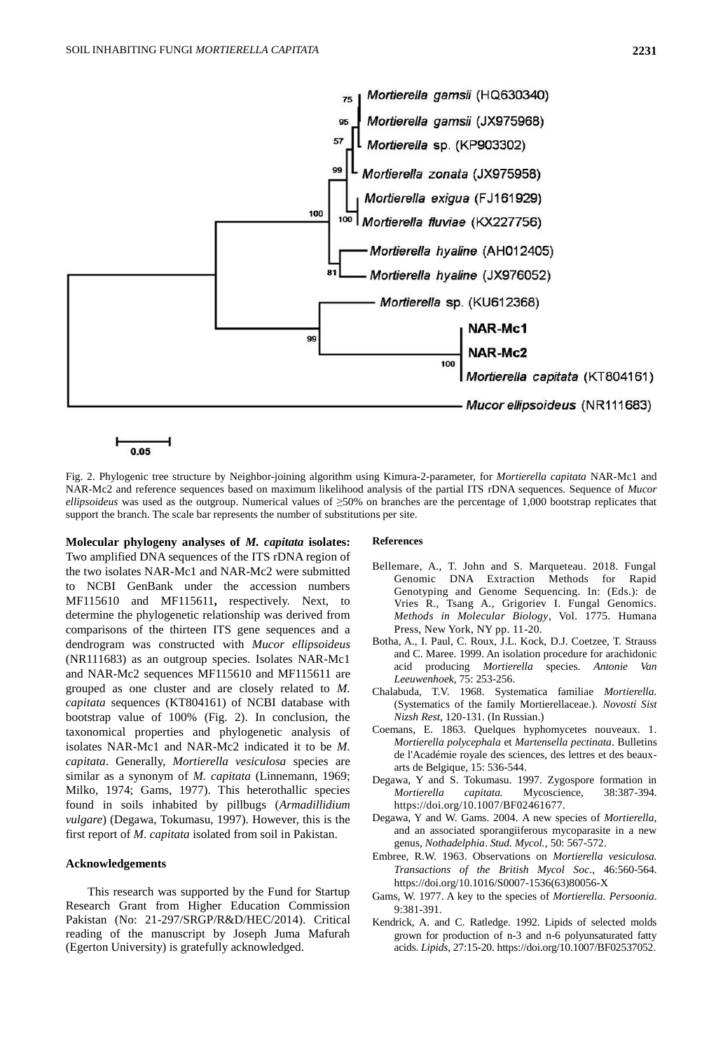

Fig. 2. Phylogenic tree structure by Neighbor-joining algorithm using Kimura-2-parameter, for *Mortierella capitata* NAR-Mc1 and NAR-Mc2 and reference sequences based on maximum likelihood analysis of the partial ITS rDNA sequences. Sequence of *Mucor ellipsoideus* was used as the outgroup. Numerical values of ≥50% on branches are the percentage of 1,000 bootstrap replicates that support the branch. The scale bar represents the number of substitutions per site.

**Molecular phylogeny analyses of** *M. capitata* **isolates:** Two amplified DNA sequences of the ITS rDNA region of the two isolates NAR-Mc1 and NAR-Mc2 were submitted to NCBI GenBank under the accession numbers MF115610 and MF115611**,** respectively. Next, to determine the phylogenetic relationship was derived from comparisons of the thirteen ITS gene sequences and a dendrogram was constructed with *Mucor ellipsoideus* (NR111683) as an outgroup species. Isolates NAR-Mc1 and NAR-Mc2 sequences MF115610 and MF115611 are grouped as one cluster and are closely related to *M. capitata* sequences (KT804161) of NCBI database with bootstrap value of 100% (Fig. 2). In conclusion, the taxonomical properties and phylogenetic analysis of isolates NAR-Mc1 and NAR-Mc2 indicated it to be *M. capitata*. Generally, *Mortierella vesiculosa* species are similar as a synonym of *M. capitata* (Linnemann, 1969; Milko, 1974; Gams, 1977). This heterothallic species found in soils inhabited by pillbugs (*Armadillidium vulgare*) (Degawa, Tokumasu, 1997). However, this is the first report of *M*. *capitata* isolated from soil in Pakistan.

#### **Acknowledgements**

This research was supported by the Fund for Startup Research Grant from Higher Education Commission Pakistan (No: 21-297/SRGP/R&D/HEC/2014). Critical reading of the manuscript by Joseph Juma Mafurah (Egerton University) is gratefully acknowledged.

#### **References**

- Bellemare, A., T. John and S. Marqueteau. 2018. Fungal Genomic DNA Extraction Methods for Rapid Genotyping and Genome Sequencing. In: (Eds.): de Vries R., Tsang A., Grigoriev I. Fungal Genomics. *Methods in Molecular Biology*, Vol. 1775. Humana Press, New York, NY pp. 11-20.
- Botha, A., I. Paul, C. Roux, J.L. Kock, D.J. Coetzee, T. Strauss and C. Maree. 1999. An isolation procedure for arachidonic acid producing *Mortierella* species. *Antonie Van Leeuwenhoek,* 75: 253-256.
- Chalabuda, T.V. 1968. Systematica familiae *Mortierella.*  (Systematics of the family Mortierellaceae.). *Novosti Sist Nizsh Rest*, 120-131. (In Russian.)
- Coemans, E. 1863. Quelques hyphomycetes nouveaux. 1. *Mortierella polycephala* et *Martensella pectinata*. Bulletins de l'Académie royale des sciences, des lettres et des beauxarts de Belgique, 15: 536-544.
- Degawa, Y and S. Tokumasu. 1997. Zygospore formation in *Mortierella capitata.* Mycoscience*,* 38:387-394. https://doi.org/10.1007/BF02461677.
- Degawa, Y and W. Gams. 2004. A new species of *Mortierella*, and an associated sporangiiferous mycoparasite in a new genus, *Nothadelphia*. *Stud. Mycol.,* 50: 567-572.
- Embree, R.W. 1963. Observations on *Mortierella vesiculosa. Transactions of the British Mycol Soc*., 46:560-564. https://doi.org/10.1016/S0007-1536(63)80056-X
- Gams, W. 1977. A key to the species of *Mortierella. Persoonia*. 9:381-391.
- Kendrick, A. and C. Ratledge. 1992. Lipids of selected molds grown for production of n-3 and n-6 polyunsaturated fatty acids. *Lipids*, 27:15-20[. https://doi.org/10.1007/BF02537052.](https://doi.org/10.1007/BF02537052)